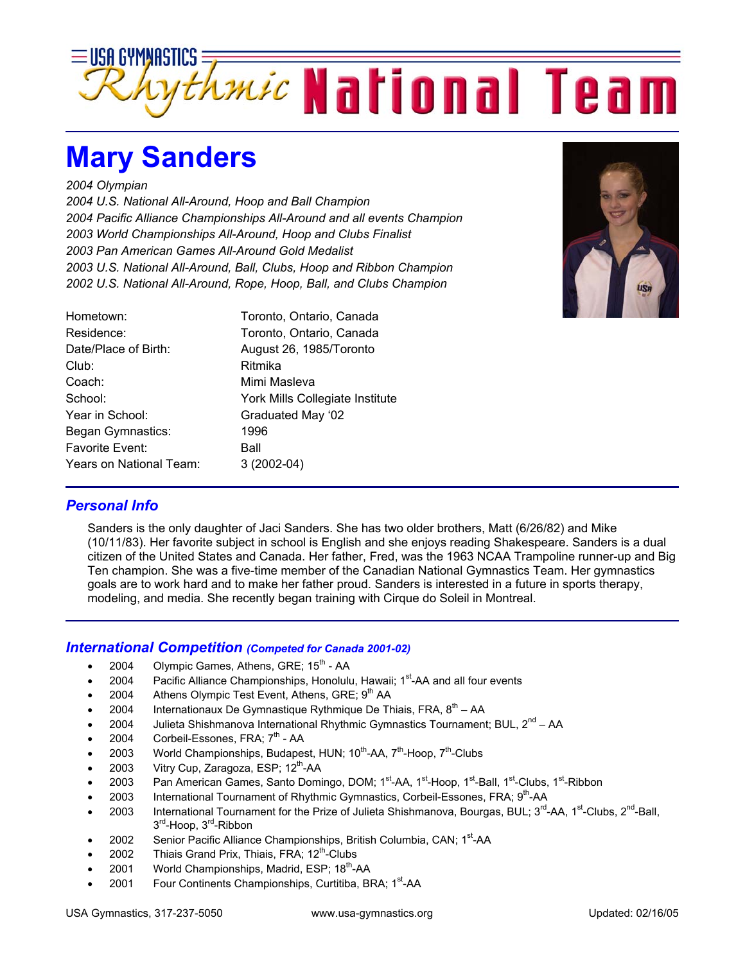

## **Mary Sanders**

*2004 Olympian* 

*2004 U.S. National All-Around, Hoop and Ball Champion 2004 Pacific Alliance Championships All-Around and all events Champion 2003 World Championships All-Around, Hoop and Clubs Finalist 2003 Pan American Games All-Around Gold Medalist 2003 U.S. National All-Around, Ball, Clubs, Hoop and Ribbon Champion 2002 U.S. National All-Around, Rope, Hoop, Ball, and Clubs Champion* 

| Toronto, Ontario, Canada<br>Toronto, Ontario, Canada |
|------------------------------------------------------|
| August 26, 1985/Toronto<br>Ritmika                   |
| Mimi Masleva                                         |
| York Mills Collegiate Institute                      |
| Graduated May '02                                    |
| 1996                                                 |
| Ball                                                 |
| $3(2002-04)$                                         |
|                                                      |



## *Personal Info*

Sanders is the only daughter of Jaci Sanders. She has two older brothers, Matt (6/26/82) and Mike (10/11/83). Her favorite subject in school is English and she enjoys reading Shakespeare. Sanders is a dual citizen of the United States and Canada. Her father, Fred, was the 1963 NCAA Trampoline runner-up and Big Ten champion. She was a five-time member of the Canadian National Gymnastics Team. Her gymnastics goals are to work hard and to make her father proud. Sanders is interested in a future in sports therapy, modeling, and media. She recently began training with Cirque do Soleil in Montreal.

## *International Competition (Competed for Canada 2001-02)*

- 2004 Olympic Games, Athens, GRE;  $15<sup>th</sup>$  AA
- 2004 Pacific Alliance Championships, Honolulu, Hawaii; 1<sup>st</sup>-AA and all four events
- 2004 Athens Olympic Test Event, Athens, GRE; 9<sup>th</sup> AA
- 2004 Internationaux De Gymnastique Rythmique De Thiais, FRA,  $8^{th}$  AA
- 2004 Julieta Shishmanova International Rhythmic Gymnastics Tournament; BUL, 2<sup>nd</sup> AA
- 2004 Corbeil-Essones, FRA; 7<sup>th</sup> AA
- 2003 World Championships, Budapest, HUN;  $10^{th}$ -AA,  $7^{th}$ -Hoop,  $7^{th}$ -Clubs
- 2003 Vitry Cup, Zaragoza, ESP;  $12^{th}$ -AA
- 2003 Pan American Games, Santo Domingo, DOM; 1<sup>st</sup>-AA, 1<sup>st</sup>-Hoop, 1<sup>st</sup>-Ball, 1<sup>st</sup>-Clubs, 1<sup>st</sup>-Ribbon
- 2003 International Tournament of Rhythmic Gymnastics, Corbeil-Essones, FRA; 9<sup>th</sup>-AA
- 2003 International Tournament for the Prize of Julieta Shishmanova, Bourgas, BUL;  $3^{rd}$ -AA,  $1^{st}$ -Clubs,  $2^{nd}$ -Ball, 3<sup>rd</sup>-Hoop, 3<sup>rd</sup>-Ribbon
- 2002 Senior Pacific Alliance Championships, British Columbia, CAN; 1<sup>st</sup>-AA
- 2002 Thiais Grand Prix, Thiais, FRA:  $12<sup>th</sup>$ -Clubs
- 2001 World Championships, Madrid, ESP; 18<sup>th</sup>-AA
- 2001 Four Continents Championships, Curtitiba, BRA; 1<sup>st</sup>-AA